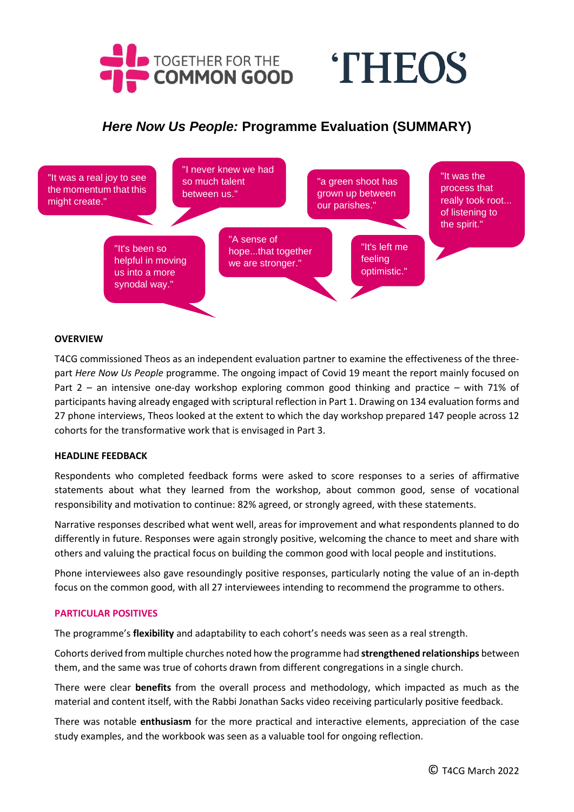

# **THEOS**

# *Here Now Us People:* **Programme Evaluation (SUMMARY)**



# **OVERVIEW**

T4CG commissioned Theos as an independent evaluation partner to examine the effectiveness of the threepart *Here Now Us People* programme. The ongoing impact of Covid 19 meant the report mainly focused on Part 2 – an intensive one-day workshop exploring common good thinking and practice – with 71% of participants having already engaged with scriptural reflection in Part 1. Drawing on 134 evaluation forms and 27 phone interviews, Theos looked at the extent to which the day workshop prepared 147 people across 12 cohorts for the transformative work that is envisaged in Part 3.

#### **HEADLINE FEEDBACK**

Respondents who completed feedback forms were asked to score responses to a series of affirmative statements about what they learned from the workshop, about common good, sense of vocational responsibility and motivation to continue: 82% agreed, or strongly agreed, with these statements.

Narrative responses described what went well, areas for improvement and what respondents planned to do differently in future. Responses were again strongly positive, welcoming the chance to meet and share with others and valuing the practical focus on building the common good with local people and institutions.

Phone interviewees also gave resoundingly positive responses, particularly noting the value of an in-depth focus on the common good, with all 27 interviewees intending to recommend the programme to others.

#### **PARTICULAR POSITIVES**

The programme's **flexibility** and adaptability to each cohort's needs was seen as a real strength.

Cohorts derived from multiple churches noted how the programme had **strengthened relationships** between them, and the same was true of cohorts drawn from different congregations in a single church.

There were clear **benefits** from the overall process and methodology, which impacted as much as the material and content itself, with the Rabbi Jonathan Sacks video receiving particularly positive feedback.

There was notable **enthusiasm** for the more practical and interactive elements, appreciation of the case study examples, and the workbook was seen as a valuable tool for ongoing reflection.